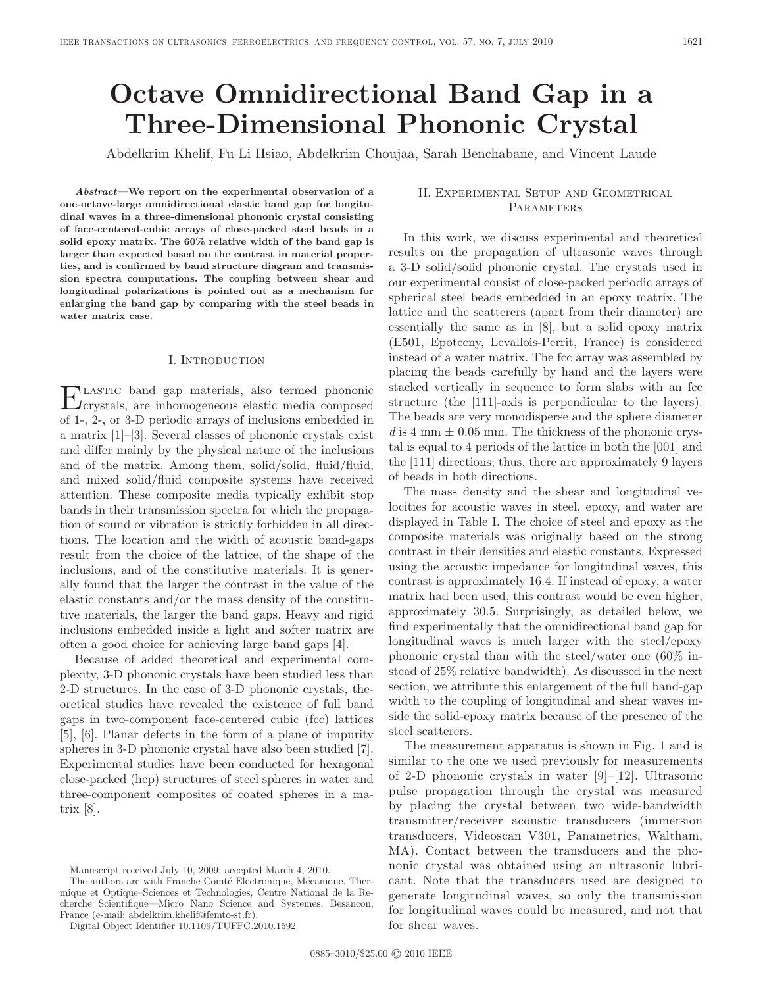# **Octave Omnidirectional Band Gap in a Three-Dimensional Phononic Crystal**

Abdelkrim Khelif, Fu-Li Hsiao, Abdelkrim Choujaa, Sarah Benchabane, and Vincent Laude

*Abstract—***We report on the experimental observation of a one-octave-large omnidirectional elastic band gap for longitudinal waves in a three-dimensional phononic crystal consisting of face-centered-cubic arrays of close-packed steel beads in a solid epoxy matrix. The 60% relative width of the band gap is larger than expected based on the contrast in material properties, and is confirmed by band structure diagram and transmission spectra computations. The coupling between shear and longitudinal polarizations is pointed out as a mechanism for enlarging the band gap by comparing with the steel beads in water matrix case.**

#### I. Introduction

Elastic band gap materials, also termed phononic crystals, are inhomogeneous elastic media composed of 1-, 2-, or 3-D periodic arrays of inclusions embedded in a matrix [1]–[3]. Several classes of phononic crystals exist and differ mainly by the physical nature of the inclusions and of the matrix. Among them, solid/solid, fluid/fluid, and mixed solid/fluid composite systems have received attention. These composite media typically exhibit stop bands in their transmission spectra for which the propagation of sound or vibration is strictly forbidden in all directions. The location and the width of acoustic band-gaps result from the choice of the lattice, of the shape of the inclusions, and of the constitutive materials. It is generally found that the larger the contrast in the value of the elastic constants and/or the mass density of the constitutive materials, the larger the band gaps. Heavy and rigid inclusions embedded inside a light and softer matrix are often a good choice for achieving large band gaps [4].

Because of added theoretical and experimental complexity, 3-D phononic crystals have been studied less than 2-D structures. In the case of 3-D phononic crystals, theoretical studies have revealed the existence of full band gaps in two-component face-centered cubic (fcc) lattices [5], [6]. Planar defects in the form of a plane of impurity spheres in 3-D phononic crystal have also been studied [7]. Experimental studies have been conducted for hexagonal close-packed (hcp) structures of steel spheres in water and three-component composites of coated spheres in a matrix [8].

## II. Experimental Setup and Geometrical **PARAMETERS**

In this work, we discuss experimental and theoretical results on the propagation of ultrasonic waves through a 3-D solid/solid phononic crystal. The crystals used in our experimental consist of close-packed periodic arrays of spherical steel beads embedded in an epoxy matrix. The lattice and the scatterers (apart from their diameter) are essentially the same as in [8], but a solid epoxy matrix (E501, Epotecny, Levallois-Perrit, France) is considered instead of a water matrix. The fcc array was assembled by placing the beads carefully by hand and the layers were stacked vertically in sequence to form slabs with an fcc structure (the [111]-axis is perpendicular to the layers). The beads are very monodisperse and the sphere diameter  $d$  is 4 mm  $\pm$  0.05 mm. The thickness of the phononic crystal is equal to 4 periods of the lattice in both the [001] and the [111] directions; thus, there are approximately 9 layers of beads in both directions.

The mass density and the shear and longitudinal velocities for acoustic waves in steel, epoxy, and water are displayed in Table I. The choice of steel and epoxy as the composite materials was originally based on the strong contrast in their densities and elastic constants. Expressed using the acoustic impedance for longitudinal waves, this contrast is approximately 16.4. If instead of epoxy, a water matrix had been used, this contrast would be even higher, approximately 30.5. Surprisingly, as detailed below, we find experimentally that the omnidirectional band gap for longitudinal waves is much larger with the steel/epoxy phononic crystal than with the steel/water one (60% instead of 25% relative bandwidth). As discussed in the next section, we attribute this enlargement of the full band-gap width to the coupling of longitudinal and shear waves inside the solid-epoxy matrix because of the presence of the steel scatterers.

The measurement apparatus is shown in Fig. 1 and is similar to the one we used previously for measurements of 2-D phononic crystals in water [9]–[12]. Ultrasonic pulse propagation through the crystal was measured by placing the crystal between two wide-bandwidth transmitter/receiver acoustic transducers (immersion transducers, Videoscan V301, Panametrics, Waltham, MA). Contact between the transducers and the phononic crystal was obtained using an ultrasonic lubricant. Note that the transducers used are designed to generate longitudinal waves, so only the transmission for longitudinal waves could be measured, and not that for shear waves.

Manuscript received July 10, 2009; accepted March 4, 2010.

The authors are with Franche-Comté Electronique, Mécanique, Thermique et Optique–Sciences et Technologies, Centre National de la Recherche Scientifique—Micro Nano Science and Systemes, Besancon, France (e-mail: abdelkrim.khelif@femto-st.fr).

Digital Object Identifier 10.1109/TUFFC.2010.1592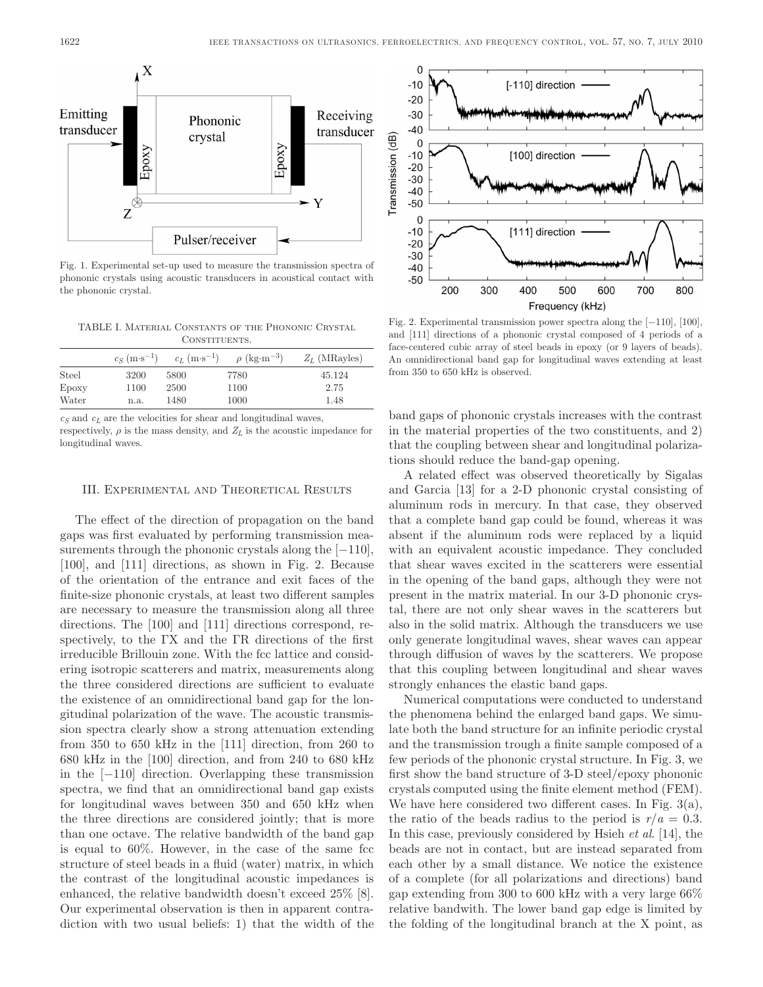

Fig. 1. Experimental set-up used to measure the transmission spectra of phononic crystals using acoustic transducers in acoustical contact with the phononic crystal.

TABLE I. Material Constants of the Phononic Crystal **CONSTITUENTS** 

|       | $c_S$ (m·s <sup>-1</sup> ) | $c_L$ (m·s <sup>-1</sup> ) | $\rho$ (kg·m <sup>-3</sup> ) | $Z_L$ (MRayles) |
|-------|----------------------------|----------------------------|------------------------------|-----------------|
| Steel | 3200                       | 5800                       | 7780                         | 45.124          |
| Epoxy | 1100                       | 2500                       | 1100                         | 2.75            |
| Water | n.a.                       | 1480                       | 1000                         | 1.48            |

 $c_S$  and  $c_L$  are the velocities for shear and longitudinal waves,

respectively,  $\rho$  is the mass density, and  $Z_L$  is the acoustic impedance for longitudinal waves.

#### III. Experimental and Theoretical Results

The effect of the direction of propagation on the band gaps was first evaluated by performing transmission measurements through the phononic crystals along the  $[-110]$ , [100], and [111] directions, as shown in Fig. 2. Because of the orientation of the entrance and exit faces of the finite-size phononic crystals, at least two different samples are necessary to measure the transmission along all three directions. The [100] and [111] directions correspond, respectively, to the ΓX and the ΓR directions of the first irreducible Brillouin zone. With the fcc lattice and considering isotropic scatterers and matrix, measurements along the three considered directions are sufficient to evaluate the existence of an omnidirectional band gap for the longitudinal polarization of the wave. The acoustic transmission spectra clearly show a strong attenuation extending from 350 to 650 kHz in the [111] direction, from 260 to 680 kHz in the [100] direction, and from 240 to 680 kHz in the [−110] direction. Overlapping these transmission spectra, we find that an omnidirectional band gap exists for longitudinal waves between 350 and 650 kHz when the three directions are considered jointly; that is more than one octave. The relative bandwidth of the band gap is equal to 60%. However, in the case of the same fcc structure of steel beads in a fluid (water) matrix, in which the contrast of the longitudinal acoustic impedances is enhanced, the relative bandwidth doesn't exceed 25% [8]. Our experimental observation is then in apparent contradiction with two usual beliefs: 1) that the width of the



Fig. 2. Experimental transmission power spectra along the [−110], [100], and [111] directions of a phononic crystal composed of 4 periods of a face-centered cubic array of steel beads in epoxy (or 9 layers of beads). An omnidirectional band gap for longitudinal waves extending at least from 350 to 650 kHz is observed.

band gaps of phononic crystals increases with the contrast in the material properties of the two constituents, and 2) that the coupling between shear and longitudinal polarizations should reduce the band-gap opening.

A related effect was observed theoretically by Sigalas and Garcia [13] for a 2-D phononic crystal consisting of aluminum rods in mercury. In that case, they observed that a complete band gap could be found, whereas it was absent if the aluminum rods were replaced by a liquid with an equivalent acoustic impedance. They concluded that shear waves excited in the scatterers were essential in the opening of the band gaps, although they were not present in the matrix material. In our 3-D phononic crystal, there are not only shear waves in the scatterers but also in the solid matrix. Although the transducers we use only generate longitudinal waves, shear waves can appear through diffusion of waves by the scatterers. We propose that this coupling between longitudinal and shear waves strongly enhances the elastic band gaps.

Numerical computations were conducted to understand the phenomena behind the enlarged band gaps. We simulate both the band structure for an infinite periodic crystal and the transmission trough a finite sample composed of a few periods of the phononic crystal structure. In Fig. 3, we first show the band structure of 3-D steel/epoxy phononic crystals computed using the finite element method (FEM). We have here considered two different cases. In Fig. 3(a), the ratio of the beads radius to the period is  $r/a = 0.3$ . In this case, previously considered by Hsieh *et al*. [14], the beads are not in contact, but are instead separated from each other by a small distance. We notice the existence of a complete (for all polarizations and directions) band gap extending from 300 to 600 kHz with a very large 66% relative bandwith. The lower band gap edge is limited by the folding of the longitudinal branch at the X point, as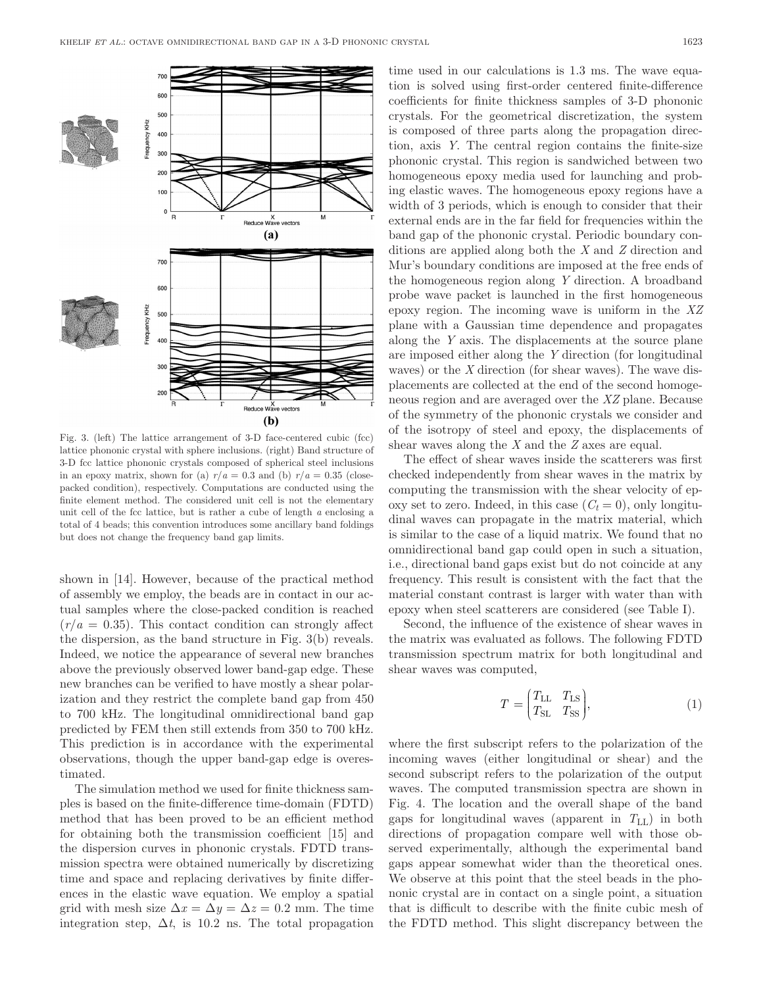

Fig. 3. (left) The lattice arrangement of 3-D face-centered cubic (fcc) lattice phononic crystal with sphere inclusions. (right) Band structure of 3-D fcc lattice phononic crystals composed of spherical steel inclusions in an epoxy matrix, shown for (a)  $r/a = 0.3$  and (b)  $r/a = 0.35$  (closepacked condition), respectively. Computations are conducted using the finite element method. The considered unit cell is not the elementary unit cell of the fcc lattice, but is rather a cube of length *a* enclosing a total of 4 beads; this convention introduces some ancillary band foldings but does not change the frequency band gap limits.

shown in [14]. However, because of the practical method of assembly we employ, the beads are in contact in our actual samples where the close-packed condition is reached  $(r/a = 0.35)$ . This contact condition can strongly affect the dispersion, as the band structure in Fig. 3(b) reveals. Indeed, we notice the appearance of several new branches above the previously observed lower band-gap edge. These new branches can be verified to have mostly a shear polarization and they restrict the complete band gap from 450 to 700 kHz. The longitudinal omnidirectional band gap predicted by FEM then still extends from 350 to 700 kHz. This prediction is in accordance with the experimental observations, though the upper band-gap edge is overestimated.

The simulation method we used for finite thickness samples is based on the finite-difference time-domain (FDTD) method that has been proved to be an efficient method for obtaining both the transmission coefficient [15] and the dispersion curves in phononic crystals. FDTD transmission spectra were obtained numerically by discretizing time and space and replacing derivatives by finite differences in the elastic wave equation. We employ a spatial grid with mesh size  $\Delta x = \Delta y = \Delta z = 0.2$  mm. The time integration step,  $\Delta t$ , is 10.2 ns. The total propagation time used in our calculations is 1.3 ms. The wave equation is solved using first-order centered finite-difference coefficients for finite thickness samples of 3-D phononic crystals. For the geometrical discretization, the system is composed of three parts along the propagation direction, axis *Y*. The central region contains the finite-size phononic crystal. This region is sandwiched between two homogeneous epoxy media used for launching and probing elastic waves. The homogeneous epoxy regions have a width of 3 periods, which is enough to consider that their external ends are in the far field for frequencies within the band gap of the phononic crystal. Periodic boundary conditions are applied along both the *X* and *Z* direction and Mur's boundary conditions are imposed at the free ends of the homogeneous region along *Y* direction. A broadband probe wave packet is launched in the first homogeneous epoxy region. The incoming wave is uniform in the *XZ* plane with a Gaussian time dependence and propagates along the *Y* axis. The displacements at the source plane are imposed either along the *Y* direction (for longitudinal waves) or the *X* direction (for shear waves). The wave displacements are collected at the end of the second homogeneous region and are averaged over the *XZ* plane. Because of the symmetry of the phononic crystals we consider and of the isotropy of steel and epoxy, the displacements of shear waves along the *X* and the *Z* axes are equal.

The effect of shear waves inside the scatterers was first checked independently from shear waves in the matrix by computing the transmission with the shear velocity of epoxy set to zero. Indeed, in this case  $(C_t = 0)$ , only longitudinal waves can propagate in the matrix material, which is similar to the case of a liquid matrix. We found that no omnidirectional band gap could open in such a situation, i.e., directional band gaps exist but do not coincide at any frequency. This result is consistent with the fact that the material constant contrast is larger with water than with epoxy when steel scatterers are considered (see Table I).

Second, the influence of the existence of shear waves in the matrix was evaluated as follows. The following FDTD transmission spectrum matrix for both longitudinal and shear waves was computed,

$$
T = \begin{pmatrix} T_{\rm LL} & T_{\rm LS} \\ T_{\rm SL} & T_{\rm SS} \end{pmatrix},\tag{1}
$$

where the first subscript refers to the polarization of the incoming waves (either longitudinal or shear) and the second subscript refers to the polarization of the output waves. The computed transmission spectra are shown in Fig. 4. The location and the overall shape of the band gaps for longitudinal waves (apparent in  $T_{LL}$ ) in both directions of propagation compare well with those observed experimentally, although the experimental band gaps appear somewhat wider than the theoretical ones. We observe at this point that the steel beads in the phononic crystal are in contact on a single point, a situation that is difficult to describe with the finite cubic mesh of the FDTD method. This slight discrepancy between the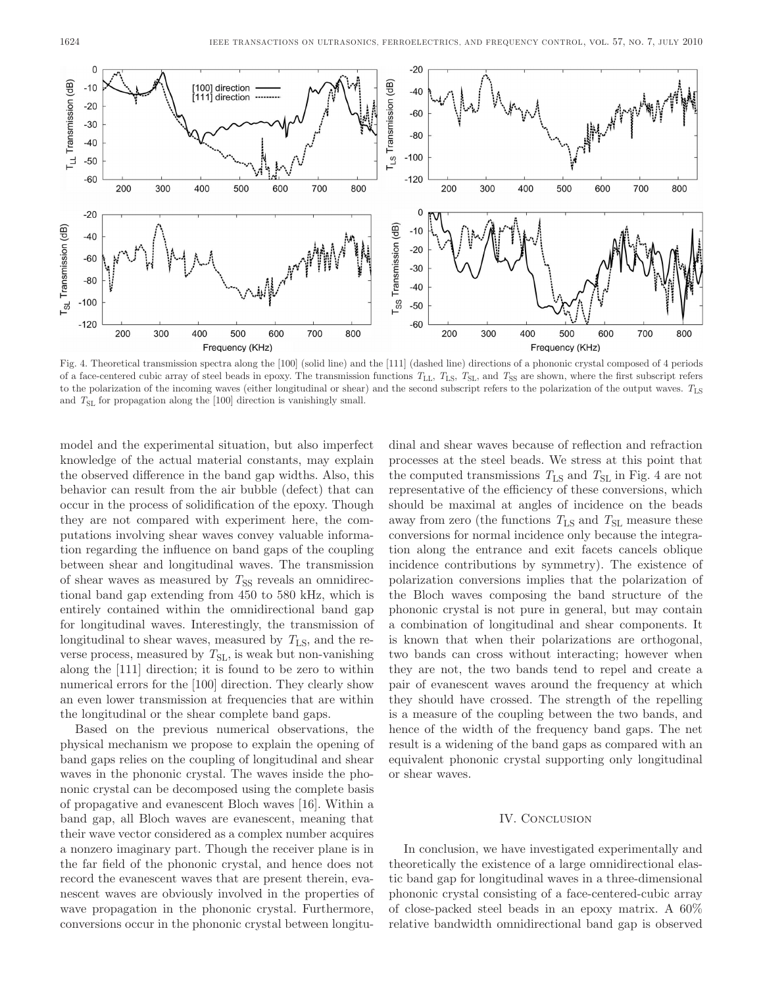

Fig. 4. Theoretical transmission spectra along the [100] (solid line) and the [111] (dashed line) directions of a phononic crystal composed of 4 periods of a face-centered cubic array of steel beads in epoxy. The transmission functions  $T_{\rm LL}$ ,  $T_{\rm LS}$ ,  $T_{\rm SL}$ , and  $T_{\rm SS}$  are shown, where the first subscript refers to the polarization of the incoming waves (either longitudinal or shear) and the second subscript refers to the polarization of the output waves.  $T_{LS}$ and  $T<sub>SL</sub>$  for propagation along the [100] direction is vanishingly small.

model and the experimental situation, but also imperfect knowledge of the actual material constants, may explain the observed difference in the band gap widths. Also, this behavior can result from the air bubble (defect) that can occur in the process of solidification of the epoxy. Though they are not compared with experiment here, the computations involving shear waves convey valuable information regarding the influence on band gaps of the coupling between shear and longitudinal waves. The transmission of shear waves as measured by  $T_{SS}$  reveals an omnidirectional band gap extending from 450 to 580 kHz, which is entirely contained within the omnidirectional band gap for longitudinal waves. Interestingly, the transmission of longitudinal to shear waves, measured by  $T_{LS}$ , and the reverse process, measured by  $T_{\rm SL}$ , is weak but non-vanishing along the [111] direction; it is found to be zero to within numerical errors for the [100] direction. They clearly show an even lower transmission at frequencies that are within the longitudinal or the shear complete band gaps.

Based on the previous numerical observations, the physical mechanism we propose to explain the opening of band gaps relies on the coupling of longitudinal and shear waves in the phononic crystal. The waves inside the phononic crystal can be decomposed using the complete basis of propagative and evanescent Bloch waves [16]. Within a band gap, all Bloch waves are evanescent, meaning that their wave vector considered as a complex number acquires a nonzero imaginary part. Though the receiver plane is in the far field of the phononic crystal, and hence does not record the evanescent waves that are present therein, evanescent waves are obviously involved in the properties of wave propagation in the phononic crystal. Furthermore, conversions occur in the phononic crystal between longitu-

dinal and shear waves because of reflection and refraction processes at the steel beads. We stress at this point that the computed transmissions  $T_{LS}$  and  $T_{SL}$  in Fig. 4 are not representative of the efficiency of these conversions, which should be maximal at angles of incidence on the beads away from zero (the functions  $T_{LS}$  and  $T_{SL}$  measure these conversions for normal incidence only because the integration along the entrance and exit facets cancels oblique incidence contributions by symmetry). The existence of polarization conversions implies that the polarization of the Bloch waves composing the band structure of the phononic crystal is not pure in general, but may contain a combination of longitudinal and shear components. It is known that when their polarizations are orthogonal, two bands can cross without interacting; however when they are not, the two bands tend to repel and create a pair of evanescent waves around the frequency at which they should have crossed. The strength of the repelling is a measure of the coupling between the two bands, and hence of the width of the frequency band gaps. The net result is a widening of the band gaps as compared with an equivalent phononic crystal supporting only longitudinal or shear waves.

### IV. CONCLUSION

In conclusion, we have investigated experimentally and theoretically the existence of a large omnidirectional elastic band gap for longitudinal waves in a three-dimensional phononic crystal consisting of a face-centered-cubic array of close-packed steel beads in an epoxy matrix. A 60% relative bandwidth omnidirectional band gap is observed